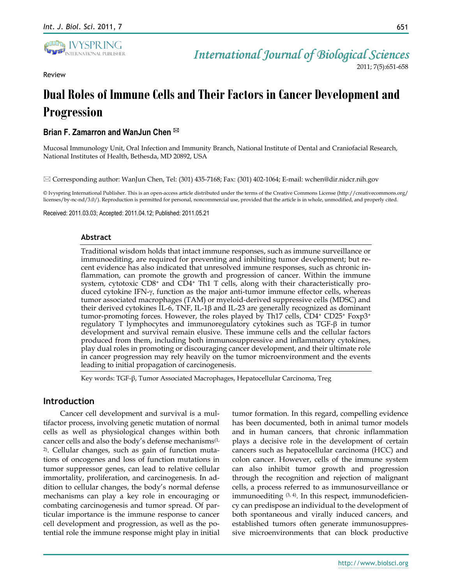

Review

*International Journal of Biological Sciences*

2011; 7(5):651-658

# **Dual Roles of Immune Cells and Their Factors in Cancer Development and Progression**

# **Brian F. Zamarron and WanJun Chen**

Mucosal Immunology Unit, Oral Infection and Immunity Branch, National Institute of Dental and Craniofacial Research, National Institutes of Health, Bethesda, MD 20892, USA

Corresponding author: WanJun Chen, Tel: (301) 435-7168; Fax: (301) 402-1064; E-mail: wchen@dir.nidcr.nih.gov

© Ivyspring International Publisher. This is an open-access article distributed under the terms of the Creative Commons License (http://creativecommons.org/ licenses/by-nc-nd/3.0/). Reproduction is permitted for personal, noncommercial use, provided that the article is in whole, unmodified, and properly cited.

Received: 2011.03.03; Accepted: 2011.04.12; Published: 2011.05.21

#### **Abstract**

Traditional wisdom holds that intact immune responses, such as immune surveillance or immunoediting, are required for preventing and inhibiting tumor development; but recent evidence has also indicated that unresolved immune responses, such as chronic inflammation, can promote the growth and progression of cancer. Within the immune system, cytotoxic  $CD8^+$  and  $CD4^+$  Th1 T cells, along with their characteristically produced cytokine IFN- $\gamma$ , function as the major anti-tumor immune effector cells, whereas tumor associated macrophages (TAM) or myeloid-derived suppressive cells (MDSC) and their derived cytokines IL-6, TNF, IL-1 $\beta$  and IL-23 are generally recognized as dominant tumor-promoting forces. However, the roles played by Th17 cells, CD4<sup>+</sup> CD25<sup>+</sup> Foxp3<sup>+</sup> regulatory T lymphocytes and immunoregulatory cytokines such as  $TGF-\beta$  in tumor development and survival remain elusive. These immune cells and the cellular factors produced from them, including both immunosuppressive and inflammatory cytokines, play dual roles in promoting or discouraging cancer development, and their ultimate role in cancer progression may rely heavily on the tumor microenvironment and the events leading to initial propagation of carcinogenesis.

Key words: TGF-β, Tumor Associated Macrophages, Hepatocellular Carcinoma, Treg

## **Introduction**

Cancer cell development and survival is a multifactor process, involving genetic mutation of normal cells as well as physiological changes within both cancer cells and also the body's defense mechanisms $(1, 1)$  $(1, 1)$ [2\)](#page-6-1) . Cellular changes, such as gain of function mutations of oncogenes and loss of function mutations in tumor suppressor genes, can lead to relative cellular immortality, proliferation, and carcinogenesis. In addition to cellular changes, the body's normal defense mechanisms can play a key role in encouraging or combating carcinogenesis and tumor spread. Of particular importance is the immune response to cancer cell development and progression, as well as the potential role the immune response might play in initial

tumor formation. In this regard, compelling evidence has been documented, both in animal tumor models and in human cancers, that chronic inflammation plays a decisive role in the development of certain cancers such as hepatocellular carcinoma (HCC) and colon cancer. However, cells of the immune system can also inhibit tumor growth and progression through the recognition and rejection of malignant cells, a process referred to as immunosurveillance or immunoediting [\(3,](#page-6-2) [4\)](#page-6-3) . In this respect, immunodeficiency can predispose an individual to the development of both spontaneous and virally induced cancers, and established tumors often generate immunosuppressive microenvironments that can block productive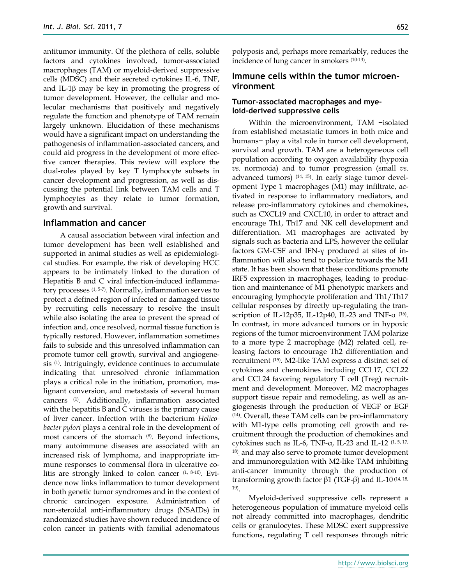antitumor immunity. Of the plethora of cells, soluble factors and cytokines involved, tumor-associated macrophages (TAM) or myeloid-derived suppressive cells (MDSC) and their secreted cytokines IL-6, TNF, and IL-1 $\beta$  may be key in promoting the progress of tumor development. However, the cellular and molecular mechanisms that positively and negatively regulate the function and phenotype of TAM remain largely unknown. Elucidation of these mechanisms would have a significant impact on understanding the pathogenesis of inflammation-associated cancers, and could aid progress in the development of more effective cancer therapies. This review will explore the dual-roles played by key T lymphocyte subsets in cancer development and progression, as well as discussing the potential link between TAM cells and T lymphocytes as they relate to tumor formation, growth and survival.

#### **Inflammation and cancer**

A causal association between viral infection and tumor development has been well established and supported in animal studies as well as epidemiological studies. For example, the risk of developing HCC appears to be intimately linked to the duration of Hepatitis B and C viral infection-induced inflammatory processes [\(1,](#page-6-0) [5-7\)](#page-6-4) . Normally, inflammation serves to protect a defined region of infected or damaged tissue by recruiting cells necessary to resolve the insult while also isolating the area to prevent the spread of infection and, once resolved, normal tissue function is typically restored. However, inflammation sometimes fails to subside and this unresolved inflammation can promote tumor cell growth, survival and angiogenesis [\(1\)](#page-6-0) . Intriguingly, evidence continues to accumulate indicating that unresolved chronic inflammation plays a critical role in the initiation, promotion, malignant conversion, and metastasis of several human cancers [\(1\)](#page-6-0) . Additionally, inflammation associated with the hepatitis B and C viruses is the primary cause of liver cancer. Infection with the bacterium *Helicobacter pylori* plays a central role in the development of most cancers of the stomach [\(8\)](#page-6-5) . Beyond infections, many autoimmune diseases are associated with an increased risk of lymphoma, and inappropriate immune responses to commensal flora in ulcerative colitis are strongly linked to colon cancer [\(1,](#page-6-0) [8-10\)](#page-6-5) . Evidence now links inflammation to tumor development in both genetic tumor syndromes and in the context of chronic carcinogen exposure. Administration of non-steroidal anti-inflammatory drugs (NSAIDs) in randomized studies have shown reduced incidence of colon cancer in patients with familial adenomatous

polyposis and, perhaps more remarkably, reduces the incidence of lung cancer in smokers [\(10-13\)](#page-6-6) .

# **Immune cells within the tumor microenvironment**

## **Tumor-associated macrophages and myeloid-derived suppressive cells**

Within the microenvironment, TAM −isolated from established metastatic tumors in both mice and humans− play a vital role in tumor cell development, survival and growth. TAM are a heterogeneous cell population according to oxygen availability (hypoxia *vs.* normoxia) and to tumor progression (small *vs.* advanced tumors) [\(14,](#page-6-7) [15\)](#page-6-8) . In early stage tumor development Type 1 macrophages (M1) may infiltrate, activated in response to inflammatory mediators, and release pro-inflammatory cytokines and chemokines, such as CXCL19 and CXCL10, in order to attract and encourage Th1, Th17 and NK cell development and differentiation. M1 macrophages are activated by signals such as bacteria and LPS, however the cellular factors GM-CSF and IFN-γ produced at sites of inflammation will also tend to polarize towards the M1 state. It has been shown that these conditions promote IRF5 expression in macrophages, leading to production and maintenance of M1 phenotypic markers and encouraging lymphocyte proliferation and Th1/Th17 cellular responses by directly up-regulating the tran-scription of IL-12p35, IL-12p40, IL-23 and TNF-α [\(16\)](#page-6-9). In contrast, in more advanced tumors or in hypoxic regions of the tumor microenvironment TAM polarize to a more type 2 macrophage (M2) related cell, releasing factors to encourage Th2 differentiation and recruitment [\(15\)](#page-6-8) . M2-like TAM express a distinct set of cytokines and chemokines including CCL17, CCL22 and CCL24 favoring regulatory T cell (Treg) recruitment and development. Moreover, M2 macrophages support tissue repair and remodeling, as well as angiogenesis through the production of VEGF or EGF [\(14\)](#page-6-7) . Overall, these TAM cells can be pro-inflammatory with M1-type cells promoting cell growth and recruitment through the production of chemokines and cytokines such as IL-6, TNF- $\alpha$ , IL-23 and IL-12 [\(1,](#page-6-0) [5,](#page-6-4) 17, [18\)](#page-6-11) , and may also serve to promote tumor development and immunoregulation with M2-like TAM inhibiting anti-cancer immunity through the production of transforming growth factor  $β1$  (TGF- $β$ ) and IL-10<sup>[\(14,](#page-6-7) 18,</sup> [19\)](#page-6-12) .

Myeloid-derived suppressive cells represent a heterogeneous population of immature myeloid cells not already committed into macrophages, dendritic cells or granulocytes. These MDSC exert suppressive functions, regulating T cell responses through nitric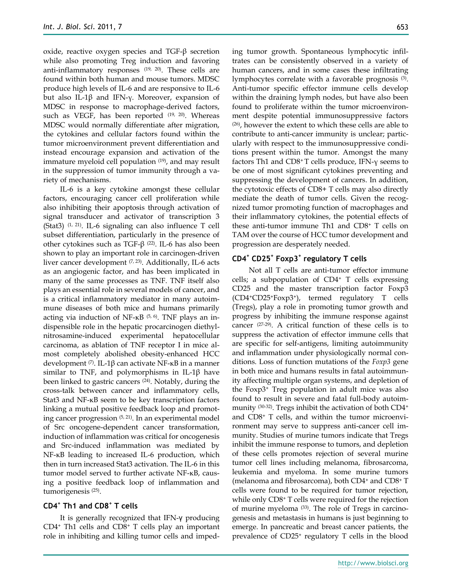oxide, reactive oxygen species and TGF-β secretion while also promoting Treg induction and favoring anti-inflammatory responses [\(19,](#page-6-12) [20\)](#page-6-13) . These cells are found within both human and mouse tumors. MDSC produce high levels of IL-6 and are responsive to IL-6 but also IL-1β and IFN-γ. Moreover, expansion of MDSC in response to macrophage-derived factors, such as VEGF, has been reported <sup>[\(19,](#page-6-12) [20\)](#page-6-13)</sup>. Whereas MDSC would normally differentiate after migration, the cytokines and cellular factors found within the tumor microenvironment prevent differentiation and instead encourage expansion and activation of the immature myeloid cell population [\(19\)](#page-6-12) , and may result in the suppression of tumor immunity through a variety of mechanisms.

IL-6 is a key cytokine amongst these cellular factors, encouraging cancer cell proliferation while also inhibiting their apoptosis through activation of signal transducer and activator of transcription 3 (Stat3)  $(1, 21)$  $(1, 21)$ . IL-6 signaling can also influence T cell subset differentiation, particularly in the presence of other cytokines such as TGF-β  $(22)$ . IL-6 has also been shown to play an important role in carcinogen-driven liver cancer development [\(7,](#page-6-16) [23\)](#page-6-17) . Additionally, IL-6 acts as an angiogenic factor, and has been implicated in many of the same processes as TNF. TNF itself also plays an essential role in several models of cancer, and is a critical inflammatory mediator in many autoimmune diseases of both mice and humans primarily acting via induction of NF-κB [\(5,](#page-6-4) [6\)](#page-6-18) . TNF plays an indispensible role in the hepatic procarcinogen diethylnitrosamine-induced experimental hepatocellular carcinoma, as ablation of TNF receptor I in mice almost completely abolished obesity-enhanced HCC development [\(7\)](#page-6-16) . IL-1β can activate NF-κB in a manner similar to TNF, and polymorphisms in IL-1 $\beta$  have been linked to gastric cancers [\(24\)](#page-6-19) . Notably, during the cross-talk between cancer and inflammatory cells, Stat3 and NF-κB seem to be key transcription factors linking a mutual positive feedback loop and promoting cancer progression [\(5,](#page-6-4) [21\)](#page-6-14) . In an experimental model of Src oncogene-dependent cancer transformation, induction of inflammation was critical for oncogenesis and Src-induced inflammation was mediated by NF-κB leading to increased IL-6 production, which then in turn increased Stat3 activation. The IL-6 in this tumor model served to further activate NF-κB, causing a positive feedback loop of inflammation and tumorigenesis [\(25\)](#page-6-20) .

# **CD4<sup>+</sup> Th1 and CD8<sup>+</sup> T cells**

It is generally recognized that IFN-γ producing CD4<sup>+</sup> Th1 cells and CD8<sup>+</sup> T cells play an important role in inhibiting and killing tumor cells and impeding tumor growth. Spontaneous lymphocytic infiltrates can be consistently observed in a variety of human cancers, and in some cases these infiltrating lymphocytes correlate with a favorable prognosis [\(3\)](#page-6-2). Anti-tumor specific effector immune cells develop within the draining lymph nodes, but have also been found to proliferate within the tumor microenvironment despite potential immunosuppressive factors [\(26\)](#page-6-21) , however the extent to which these cells are able to contribute to anti-cancer immunity is unclear; particularly with respect to the immunosuppressive conditions present within the tumor. Amongst the many factors Th1 and  $CD8+T$  cells produce, IFN- $\gamma$  seems to be one of most significant cytokines preventing and suppressing the development of cancers. In addition, the cytotoxic effects of CD8+ T cells may also directly mediate the death of tumor cells. Given the recognized tumor promoting function of macrophages and their inflammatory cytokines, the potential effects of these anti-tumor immune Th1 and CD8<sup>+</sup> T cells on TAM over the course of HCC tumor development and progression are desperately needed.

# **CD4<sup>+</sup> CD25<sup>+</sup> Foxp3<sup>+</sup> regulatory T cells**

Not all T cells are anti-tumor effector immune cells; a subpopulation of  $CD4+T$  cells expressing CD25 and the master transcription factor Foxp3 (CD4+CD25+Foxp3+), termed regulatory T cells (Tregs), play a role in promoting tumor growth and progress by inhibiting the immune response against cancer  $(27-29)$ . A critical function of these cells is to suppress the activation of effector immune cells that are specific for self-antigens, limiting autoimmunity and inflammation under physiologically normal conditions. Loss of function mutations of the *Foxp3* gene in both mice and humans results in fatal autoimmunity affecting multiple organ systems, and depletion of the Foxp3<sup>+</sup> Treg population in adult mice was also found to result in severe and fatal full-body autoimmunity [\(30-32\)](#page-7-0) . Tregs inhibit the activation of both CD4<sup>+</sup> and CD8<sup>+</sup> T cells, and within the tumor microenvironment may serve to suppress anti-cancer cell immunity. Studies of murine tumors indicate that Tregs inhibit the immune response to tumors, and depletion of these cells promotes rejection of several murine tumor cell lines including melanoma, fibrosarcoma, leukemia and myeloma. In some murine tumors (melanoma and fibrosarcoma), both CD4<sup>+</sup> and CD8<sup>+</sup> T cells were found to be required for tumor rejection, while only CD8<sup>+</sup> T cells were required for the rejection of murine myeloma [\(33\)](#page-7-1). The role of Tregs in carcinogenesis and metastasis in humans is just beginning to emerge. In pancreatic and breast cancer patients, the prevalence of CD25<sup>+</sup> regulatory T cells in the blood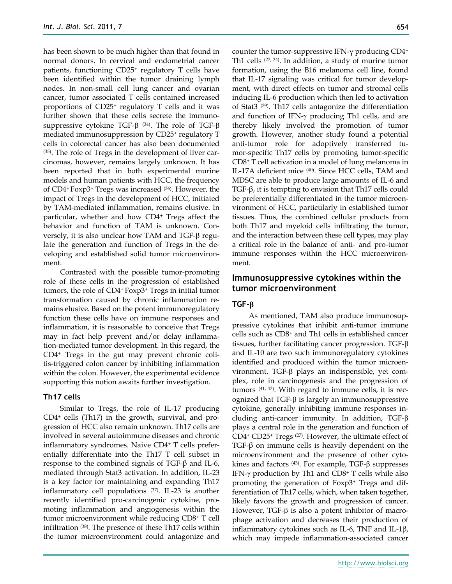has been shown to be much higher than that found in normal donors. In cervical and endometrial cancer patients, functioning CD25<sup>+</sup> regulatory T cells have been identified within the tumor draining lymph nodes. In non-small cell lung cancer and ovarian cancer, tumor associated T cells contained increased proportions of CD25<sup>+</sup> regulatory T cells and it was further shown that these cells secrete the immuno- $\text{suppressive}$  cytokine TGF- $\beta$   $^{(34)}.$  $^{(34)}.$  $^{(34)}.$  The role of TGF- $\beta$ mediated immunosuppression by CD25<sup>+</sup> regulatory T cells in colorectal cancer has also been documented [\(35\)](#page-7-3) . The role of Tregs in the development of liver carcinomas, however, remains largely unknown. It has been reported that in both experimental murine models and human patients with HCC, the frequency of CD4+ Foxp3<sup>+</sup> Tregs was increased [\(36\)](#page-7-4) . However, the impact of Tregs in the development of HCC, initiated by TAM-mediated inflammation, remains elusive. In particular, whether and how CD4<sup>+</sup> Tregs affect the behavior and function of TAM is unknown. Conversely, it is also unclear how TAM and TGF- $\beta$  regulate the generation and function of Tregs in the developing and established solid tumor microenvironment.

Contrasted with the possible tumor-promoting role of these cells in the progression of established tumors, the role of CD4+ Foxp3<sup>+</sup> Tregs in initial tumor transformation caused by chronic inflammation remains elusive. Based on the potent immunoregulatory function these cells have on immune responses and inflammation, it is reasonable to conceive that Tregs may in fact help prevent and/or delay inflammation-mediated tumor development. In this regard, the CD4<sup>+</sup> Tregs in the gut may prevent chronic colitis-triggered colon cancer by inhibiting inflammation within the colon. However, the experimental evidence supporting this notion awaits further investigation.

### **Th17 cells**

Similar to Tregs, the role of IL-17 producing CD4<sup>+</sup> cells (Th17) in the growth, survival, and progression of HCC also remain unknown. Th17 cells are involved in several autoimmune diseases and chronic inflammatory syndromes. Naive CD4<sup>+</sup> T cells preferentially differentiate into the Th17 T cell subset in response to the combined signals of TGF-β and IL-6, mediated through Stat3 activation. In addition, IL-23 is a key factor for maintaining and expanding Th17 inflammatory cell populations [\(37\)](#page-7-5) . IL-23 is another recently identified pro-carcinogenic cytokine, promoting inflammation and angiogenesis within the tumor microenvironment while reducing CD8<sup>+</sup> T cell infiltration [\(38\)](#page-7-6) . The presence of these Th17 cells within the tumor microenvironment could antagonize and

counter the tumor-suppressive IFN-γ producing CD4<sup>+</sup> Th1 cells [\(22,](#page-6-15) [24\)](#page-6-19) . In addition, a study of murine tumor formation, using the B16 melanoma cell line, found that IL-17 signaling was critical for tumor development, with direct effects on tumor and stromal cells inducing IL-6 production which then led to activation of Stat3 [\(39\)](#page-7-7) . Th17 cells antagonize the differentiation and function of IFN- $\gamma$  producing Th1 cells, and are thereby likely involved the promotion of tumor growth. However, another study found a potential anti-tumor role for adoptively transferred tumor-specific Th17 cells by promoting tumor-specific CD8<sup>+</sup> T cell activation in a model of lung melanoma in IL-17A deficient mice [\(40\)](#page-7-8) . Since HCC cells, TAM and MDSC are able to produce large amounts of IL-6 and TGF-β, it is tempting to envision that Th17 cells could be preferentially differentiated in the tumor microenvironment of HCC, particularly in established tumor tissues. Thus, the combined cellular products from both Th17 and myeloid cells infiltrating the tumor, and the interaction between these cell types, may play a critical role in the balance of anti- and pro-tumor immune responses within the HCC microenvironment.

## **Immunosuppressive cytokines within the tumor microenvironment**

#### **TGF-**

As mentioned, TAM also produce immunosuppressive cytokines that inhibit anti-tumor immune cells such as CD8<sup>+</sup> and Th1 cells in established cancer tissues, further facilitating cancer progression. TGF- $\beta$ and IL-10 are two such immunoregulatory cytokines identified and produced within the tumor microenvironment. TGF- $\beta$  plays an indispensible, yet complex, role in carcinogenesis and the progression of tumors [\(41,](#page-7-9) [42\)](#page-7-10) . With regard to immune cells, it is recognized that  $TGF- $\beta$  is largely an immunosuppressive$ cytokine, generally inhibiting immune responses including anti-cancer immunity. In addition, TGF- $\beta$ plays a central role in the generation and function of CD4<sup>+</sup> CD25<sup>+</sup> Tregs [\(27\)](#page-6-22) . However, the ultimate effect of TGF-β on immune cells is heavily dependent on the microenvironment and the presence of other cytokines and factors  $(43)$ . For example, TGF- $\beta$  suppresses IFN- $\gamma$  production by Th1 and CD8<sup>+</sup> T cells while also promoting the generation of Foxp3<sup>+</sup> Tregs and differentiation of Th17 cells, which, when taken together, likely favors the growth and progression of cancer. However, TGF- $\beta$  is also a potent inhibitor of macrophage activation and decreases their production of inflammatory cytokines such as IL-6, TNF and IL-1β, which may impede inflammation-associated cancer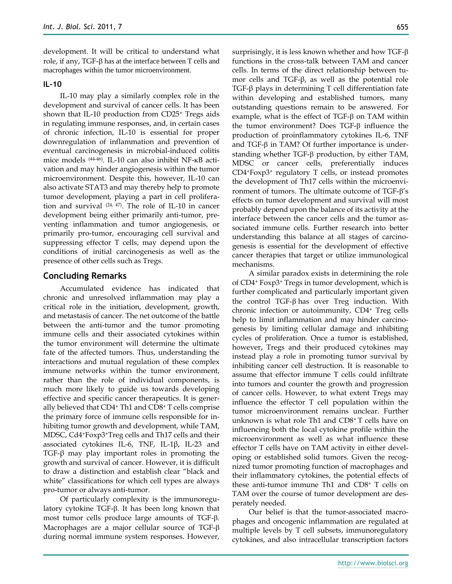development. It will be critical to understand what role, if any, TGF- $\beta$  has at the interface between T cells and macrophages within the tumor microenvironment.

#### **IL-10**

IL-10 may play a similarly complex role in the development and survival of cancer cells. It has been shown that IL-10 production from CD25<sup>+</sup> Tregs aids in regulating immune responses, and, in certain cases of chronic infection, IL-10 is essential for proper downregulation of inflammation and prevention of eventual carcinogenesis in microbial-induced colitis mice models [\(44-46\)](#page-7-12) . IL-10 can also inhibit NF-κB activation and may hinder angiogenesis within the tumor microenvironment. Despite this, however, IL-10 can also activate STAT3 and may thereby help to promote tumor development, playing a part in cell proliferation and survival [\(24,](#page-6-19) [47\)](#page-7-13) . The role of IL-10 in cancer development being either primarily anti-tumor, preventing inflammation and tumor angiogenesis, or primarily pro-tumor, encouraging cell survival and suppressing effector T cells, may depend upon the conditions of initial carcinogenesis as well as the presence of other cells such as Tregs.

## **Concluding Remarks**

Accumulated evidence has indicated that chronic and unresolved inflammation may play a critical role in the initiation, development, growth, and metastasis of cancer. The net outcome of the battle between the anti-tumor and the tumor promoting immune cells and their associated cytokines within the tumor environment will determine the ultimate fate of the affected tumors. Thus, understanding the interactions and mutual regulation of these complex immune networks within the tumor environment, rather than the role of individual components, is much more likely to guide us towards developing effective and specific cancer therapeutics. It is generally believed that CD4<sup>+</sup> Th1 and CD8<sup>+</sup> T cells comprise the primary force of immune cells responsible for inhibiting tumor growth and development, while TAM, MDSC, Cd4+Foxp3+Treg cells and Th17 cells and their associated cytokines IL-6, TNF, IL-1β, IL-23 and TGF-β may play important roles in promoting the growth and survival of cancer. However, it is difficult to draw a distinction and establish clear "black and white" classifications for which cell types are always pro-tumor or always anti-tumor.

Of particularly complexity is the immunoregulatory cytokine  $TGF-\beta$ . It has been long known that most tumor cells produce large amounts of TGF- $\beta$ . Macrophages are a major cellular source of TGF during normal immune system responses. However,

surprisingly, it is less known whether and how TGF- $\beta$ functions in the cross-talk between TAM and cancer cells. In terms of the direct relationship between tumor cells and TGF-β, as well as the potential role TGF-β plays in determining T cell differentiation fate within developing and established tumors, many outstanding questions remain to be answered. For example, what is the effect of  $TGF- $\beta$  on TAM within$ the tumor environment? Does  $TGF- $\beta$  influence the$ production of proinflammatory cytokines IL-6, TNF and TGF- $\beta$  in TAM? Of further importance is understanding whether TGF- $\beta$  production, by either TAM, MDSC or cancer cells, preferentially induces CD4+Foxp3<sup>+</sup> regulatory T cells, or instead promotes the development of Th17 cells within the microenvironment of tumors. The ultimate outcome of TGF- $\beta$ 's effects on tumor development and survival will most probably depend upon the balance of its activity at the interface between the cancer cells and the tumor associated immune cells. Further research into better understanding this balance at all stages of carcinogenesis is essential for the development of effective cancer therapies that target or utilize immunological mechanisms.

A similar paradox exists in determining the role of CD4<sup>+</sup> Foxp3<sup>+</sup> Tregs in tumor development, which is further complicated and particularly important given the control TGF- $\beta$  has over Treg induction. With chronic infection or autoimmunity, CD4<sup>+</sup> Treg cells help to limit inflammation and may hinder carcinogenesis by limiting cellular damage and inhibiting cycles of proliferation. Once a tumor is established, however, Tregs and their produced cytokines may instead play a role in promoting tumor survival by inhibiting cancer cell destruction. It is reasonable to assume that effector immune T cells could infiltrate into tumors and counter the growth and progression of cancer cells. However, to what extent Tregs may influence the effector T cell population within the tumor microenvironment remains unclear. Further unknown is what role Th1 and CD8+ T cells have on influencing both the local cytokine profile within the microenvironment as well as what influence these effector T cells have on TAM activity in either developing or established solid tumors. Given the recognized tumor promoting function of macrophages and their inflammatory cytokines, the potential effects of these anti-tumor immune Th1 and CD8<sup>+</sup> T cells on TAM over the course of tumor development are desperately needed.

Our belief is that the tumor-associated macrophages and oncogenic inflammation are regulated at multiple levels by T cell subsets, immunoregulatory cytokines, and also intracellular transcription factors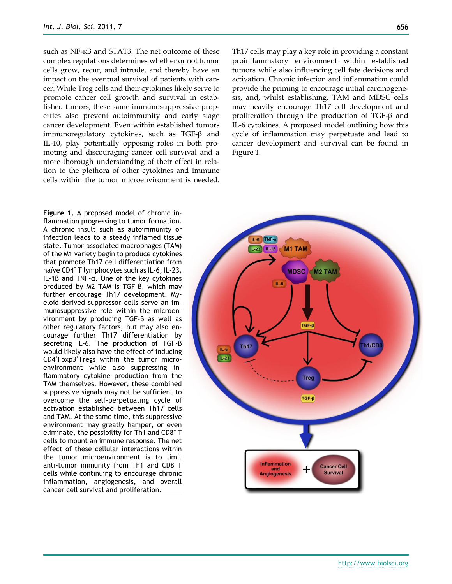such as NF-κB and STAT3. The net outcome of these complex regulations determines whether or not tumor cells grow, recur, and intrude, and thereby have an impact on the eventual survival of patients with cancer. While Treg cells and their cytokines likely serve to promote cancer cell growth and survival in established tumors, these same immunosuppressive properties also prevent autoimmunity and early stage cancer development. Even within established tumors immunoregulatory cytokines, such as TGF-β and IL-10, play potentially opposing roles in both promoting and discouraging cancer cell survival and a more thorough understanding of their effect in relation to the plethora of other cytokines and immune cells within the tumor microenvironment is needed.

**Figure 1.** A proposed model of chronic inflammation progressing to tumor formation. A chronic insult such as autoimmunity or infection leads to a steady inflamed tissue state. Tumor-associated macrophages (TAM) of the M1 variety begin to produce cytokines that promote Th17 cell differentiation from naïve CD4<sup>+</sup> T lymphocytes such as IL-6, IL-23, IL-1β and TNF-α. One of the key cytokines produced by M2 TAM is TGF-β, which may further encourage Th17 development. Myeloid-derived suppressor cells serve an immunosuppressive role within the microenvironment by producing TGF-β as well as other regulatory factors, but may also encourage further Th17 differentiation by secreting IL-6. The production of TGF-β would likely also have the effect of inducing CD4<sup>+</sup>Foxp3<sup>+</sup>Tregs within the tumor microenvironment while also suppressing inflammatory cytokine production from the TAM themselves. However, these combined suppressive signals may not be sufficient to overcome the self-perpetuating cycle of activation established between Th17 cells and TAM. At the same time, this suppressive environment may greatly hamper, or even eliminate, the possibility for Th1 and CD8<sup>+</sup> T cells to mount an immune response. The net effect of these cellular interactions within the tumor microenvironment is to limit anti-tumor immunity from Th1 and CD8 T cells while continuing to encourage chronic inflammation, angiogenesis, and overall cancer cell survival and proliferation.

Th17 cells may play a key role in providing a constant proinflammatory environment within established tumors while also influencing cell fate decisions and activation. Chronic infection and inflammation could provide the priming to encourage initial carcinogenesis, and, whilst establishing, TAM and MDSC cells may heavily encourage Th17 cell development and proliferation through the production of TGF-β and IL-6 cytokines. A proposed model outlining how this cycle of inflammation may perpetuate and lead to cancer development and survival can be found in Figure 1.

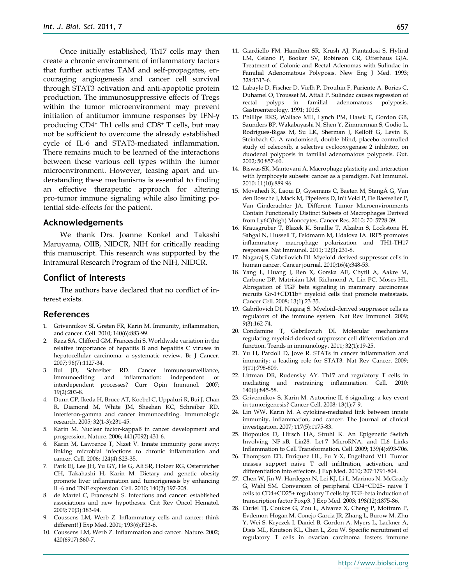Once initially established, Th17 cells may then create a chronic environment of inflammatory factors that further activates TAM and self-propagates, encouraging angiogenesis and cancer cell survival through STAT3 activation and anti-apoptotic protein production. The immunosuppressive effects of Tregs within the tumor microenvironment may prevent initiation of antitumor immune responses by IFN-γ producing CD4<sup>+</sup> Th1 cells and CD8<sup>+</sup> T cells, but may not be sufficient to overcome the already established cycle of IL-6 and STAT3-mediated inflammation. There remains much to be learned of the interactions between these various cell types within the tumor microenvironment. However, teasing apart and understanding these mechanisms is essential to finding an effective therapeutic approach for altering pro-tumor immune signaling while also limiting potential side-effects for the patient.

## **Acknowledgements**

We thank Drs. Joanne Konkel and Takashi Maruyama, OIIB, NIDCR, NIH for critically reading this manuscript. This research was supported by the Intramural Research Program of the NIH, NIDCR.

## **Conflict of Interests**

The authors have declared that no conflict of interest exists.

## **References**

- <span id="page-6-0"></span>1. Grivennikov SI, Greten FR, Karin M. Immunity, inflammation, and cancer. Cell. 2010; 140(6):883-99.
- <span id="page-6-1"></span>2. Raza SA, Clifford GM, Franceschi S. Worldwide variation in the relative importance of hepatitis B and hepatitis C viruses in hepatocellular carcinoma: a systematic review. Br J Cancer. 2007; 96(7):1127-34.
- <span id="page-6-2"></span>3. Bui JD, Schreiber RD. Cancer immunosurveillance, immunoediting and inflammation: independent or interdependent processes? Curr Opin Immunol. 2007; 19(2):203-8.
- <span id="page-6-3"></span>4. Dunn GP, Ikeda H, Bruce AT, Koebel C, Uppaluri R, Bui J, Chan R, Diamond M, White JM, Sheehan KC, Schreiber RD. Interferon-gamma and cancer immunoediting. Immunologic research. 2005; 32(1-3):231-45.
- <span id="page-6-4"></span>5. Karin M. Nuclear factor-kappaB in cancer development and progression. Nature. 2006; 441(7092):431-6.
- <span id="page-6-18"></span>6. Karin M, Lawrence T, Nizet V. Innate immunity gone awry: linking microbial infections to chronic inflammation and cancer. Cell. 2006; 124(4):823-35.
- <span id="page-6-16"></span>7. Park EJ, Lee JH, Yu GY, He G, Ali SR, Holzer RG, Osterreicher CH, Takahashi H, Karin M. Dietary and genetic obesity promote liver inflammation and tumorigenesis by enhancing IL-6 and TNF expression. Cell. 2010; 140(2):197-208.
- <span id="page-6-5"></span>8. de Martel C, Franceschi S. Infections and cancer: established associations and new hypotheses. Crit Rev Oncol Hematol. 2009; 70(3):183-94.
- 9. Coussens LM, Werb Z. Inflammatory cells and cancer: think different! J Exp Med. 2001; 193(6):F23-6.
- <span id="page-6-6"></span>10. Coussens LM, Werb Z. Inflammation and cancer. Nature. 2002; 420(6917):860-7.
- 11. Giardiello FM, Hamilton SR, Krush AJ, Piantadosi S, Hylind LM, Celano P, Booker SV, Robinson CR, Offerhaus GJA. Treatment of Colonic and Rectal Adenomas with Sulindac in Familial Adenomatous Polyposis. New Eng J Med. 1993; 328:1313-6.
- 12. Labayle D, Fischer D, Vielh P, Drouhin F, Pariente A, Bories C, Duhamel O, Trousset M, Attali P. Sulindac causes regression of rectal polyps in familial adenomatous polyposis. Gastroenterology. 1991; 101:5.
- 13. Phillips RKS, Wallace MH, Lynch PM, Hawk E, Gordon GB, Saunders BP, Wakabayashi N, Shen Y, Zimmerman S, Godio L, Rodrigues-Bigas M, Su LK, Sherman J, Kelloff G, Levin B, Steinbach G. A randomised, double blind, placebo controlled study of celecoxib, a selective cyclooxygenase 2 inhibitor, on duodenal polyposis in familial adenomatous polyposis. Gut. 2002; 50:857-60.
- <span id="page-6-7"></span>14. Biswas SK, Mantovani A. Macrophage plasticity and interaction with lymphocyte subsets: cancer as a paradigm. Nat Immunol. 2010; 11(10):889-96.
- <span id="page-6-8"></span>15. Movahedi K, Laoui D, Gysemans C, Baeten M, Stangà G, Van den Bossche J, Mack M, Pipeleers D, In't Veld P, De Baetselier P, Van Ginderachter JA. Different Tumor Microenvironments Contain Functionally Distinct Subsets of Macrophages Derived from Ly6C(high) Monocytes. Cancer Res. 2010; 70: 5728-39.
- <span id="page-6-9"></span>16. Krausgruber T, Blazek K, Smallie T, Alzabin S, Lockstone H, Sahgal N, Hussell T, Feldmann M, Udalova IA. IRF5 promotes inflammatory macrophage polarization and TH1-TH17 responses. Nat Immunol. 2011; 12(3):231-8.
- <span id="page-6-10"></span>17. Nagaraj S, Gabrilovich DI. Myeloid-derived suppressor cells in human cancer. Cancer journal. 2010;16(4):348-53.
- <span id="page-6-11"></span>18. Yang L, Huang J, Ren X, Gorska AE, Chytil A, Aakre M, Carbone DP, Matrisian LM, Richmond A, Lin PC, Moses HL. Abrogation of TGF beta signaling in mammary carcinomas recruits Gr-1+CD11b+ myeloid cells that promote metastasis. Cancer Cell. 2008; 13(1):23-35.
- <span id="page-6-12"></span>19. Gabrilovich DI, Nagaraj S. Myeloid-derived suppressor cells as regulators of the immune system. Nat Rev Immunol. 2009; 9(3):162-74.
- <span id="page-6-13"></span>20. Condamine T, Gabrilovich DI. Molecular mechanisms regulating myeloid-derived suppressor cell differentiation and function. Trends in immunology. 2011; 32(1):19-25.
- <span id="page-6-14"></span>21. Yu H, Pardoll D, Jove R. STATs in cancer inflammation and immunity: a leading role for STAT3. Nat Rev Cancer. 2009; 9(11):798-809.
- <span id="page-6-15"></span>22. Littman DR, Rudensky AY. Th17 and regulatory T cells in mediating and restraining inflammation. Cell. 2010; 140(6):845-58.
- <span id="page-6-17"></span>23. Grivennikov S, Karin M. Autocrine IL-6 signaling: a key event in tumorigenesis? Cancer Cell. 2008; 13(1):7-9.
- <span id="page-6-19"></span>24. Lin WW, Karin M. A cytokine-mediated link between innate immunity, inflammation, and cancer. The Journal of clinical investigation. 2007; 117(5):1175-83.
- <span id="page-6-20"></span>25. Iliopoulos D, Hirsch HA, Struhl K. An Epigenetic Switch Involving NF-κB, Lin28, Let-7 MicroRNA, and IL6 Links Inflammation to Cell Transformation. Cell. 2009; 139(4):693-706.
- <span id="page-6-21"></span>26. Thompson ED, Enriquez HL, Fu Y-X, Engelhard VH. Tumor masses support naive T cell infiltration, activation, and differentiation into effectors. J Exp Med. 2010; 207:1791-804.
- <span id="page-6-22"></span>27. Chen W, Jin W, Hardegen N, Lei KJ, Li L, Marinos N, McGrady G, Wahl SM. Conversion of peripheral CD4+CD25- naive T cells to CD4+CD25+ regulatory T cells by TGF-beta induction of transcription factor Foxp3. J Exp Med. 2003; 198(12):1875-86.
- 28. Curiel TJ, Coukos G, Zou L, Alvarez X, Cheng P, Mottram P, Evdemon-Hogan M, Conejo-Garcia JR, Zhang L, Burow M, Zhu Y, Wei S, Kryczek I, Daniel B, Gordon A, Myers L, Lackner A, Disis ML, Knutson KL, Chen L, Zou W. Specific recruitment of regulatory T cells in ovarian carcinoma fosters immune